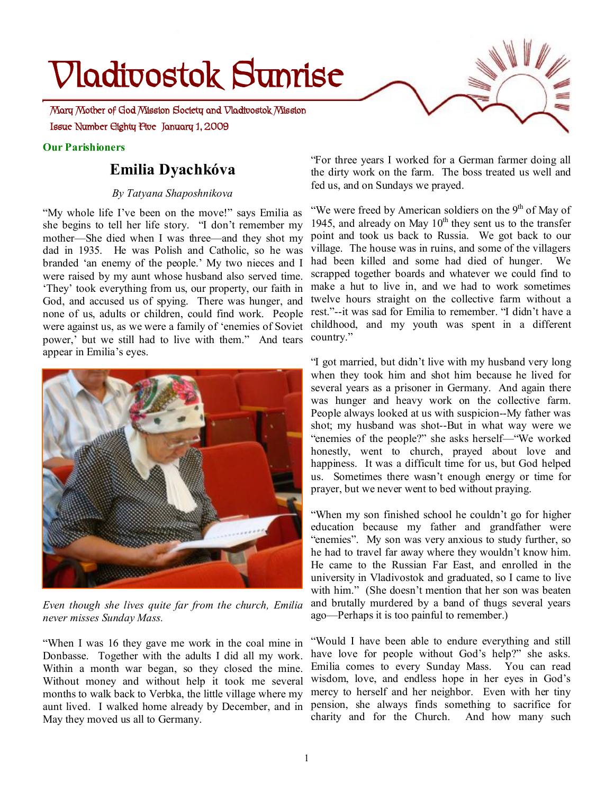# **Vladivostok Sunrise**

 **Issue Number Eighty Five January 1, 2009 Mary Mother of God Mission Society and Vladivostok Mission** 

#### **Our Parishioners**

# **Emilia Dyachkóva**

### *By Tatyana Shaposhnikova*

"My whole life I've been on the move!" says Emilia as she begins to tell her life story. "I don't remember my mother—She died when I was three—and they shot my dad in 1935. He was Polish and Catholic, so he was branded 'an enemy of the people.' My two nieces and I were raised by my aunt whose husband also served time. 'They' took everything from us, our property, our faith in God, and accused us of spying. There was hunger, and none of us, adults or children, could find work. People were against us, as we were a family of 'enemies of Soviet power,' but we still had to live with them." And tears appear in Emilia's eyes.



*Even though she lives quite far from the church, Emilia never misses Sunday Mass.* 

"When I was 16 they gave me work in the coal mine in Donbasse. Together with the adults I did all my work. Within a month war began, so they closed the mine. Without money and without help it took me several months to walk back to Verbka, the little village where my aunt lived. I walked home already by December, and in May they moved us all to Germany.



"We were freed by American soldiers on the  $9<sup>th</sup>$  of May of 1945, and already on May  $10^{th}$  they sent us to the transfer point and took us back to Russia. We got back to our village. The house was in ruins, and some of the villagers had been killed and some had died of hunger. We scrapped together boards and whatever we could find to make a hut to live in, and we had to work sometimes twelve hours straight on the collective farm without a rest."--it was sad for Emilia to remember. "I didn't have a childhood, and my youth was spent in a different country."

"I got married, but didn't live with my husband very long when they took him and shot him because he lived for several years as a prisoner in Germany. And again there was hunger and heavy work on the collective farm. People always looked at us with suspicion--My father was shot; my husband was shot--But in what way were we "enemies of the people?" she asks herself—"We worked honestly, went to church, prayed about love and happiness. It was a difficult time for us, but God helped us. Sometimes there wasn't enough energy or time for prayer, but we never went to bed without praying.

"When my son finished school he couldn't go for higher education because my father and grandfather were "enemies". My son was very anxious to study further, so he had to travel far away where they wouldn't know him. He came to the Russian Far East, and enrolled in the university in Vladivostok and graduated, so I came to live with him." (She doesn't mention that her son was beaten and brutally murdered by a band of thugs several years ago—Perhaps it is too painful to remember.)

"Would I have been able to endure everything and still have love for people without God's help?" she asks. Emilia comes to every Sunday Mass. You can read wisdom, love, and endless hope in her eyes in God's mercy to herself and her neighbor. Even with her tiny pension, she always finds something to sacrifice for charity and for the Church. And how many such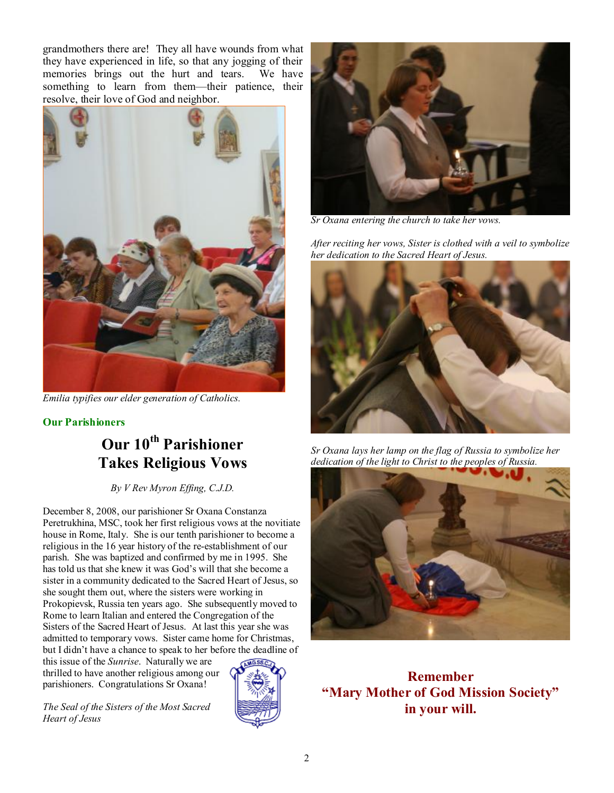grandmothers there are! They all have wounds from what they have experienced in life, so that any jogging of their memories brings out the hurt and tears. We have something to learn from them—their patience, their resolve, their love of God and neighbor.



*Emilia typifies our elder generation of Catholics.* 

## **Our Parishioners**

# **Our 10th Parishioner Takes Religious Vows**

*By V Rev Myron Effing, C.J.D.* 

December 8, 2008, our parishioner Sr Oxana Constanza Peretrukhina, MSC, took her first religious vows at the novitiate house in Rome, Italy. She is our tenth parishioner to become a religious in the 16 year history of the re-establishment of our parish. She was baptized and confirmed by me in 1995. She has told us that she knew it was God's will that she become a sister in a community dedicated to the Sacred Heart of Jesus, so she sought them out, where the sisters were working in Prokopievsk, Russia ten years ago. She subsequently moved to Rome to learn Italian and entered the Congregation of the Sisters of the Sacred Heart of Jesus. At last this year she was admitted to temporary vows. Sister came home for Christmas, but I didn't have a chance to speak to her before the deadline of

this issue of the *Sunrise*. Naturally we are thrilled to have another religious among our parishioners. Congratulations Sr Oxana!

*The Seal of the Sisters of the Most Sacred Heart of Jesus*





*Sr Oxana entering the church to take her vows.* 

*After reciting her vows, Sister is clothed with a veil to symbolize her dedication to the Sacred Heart of Jesus.* 



*Sr Oxana lays her lamp on the flag of Russia to symbolize her dedication of the light to Christ to the peoples of Russia.* 



**Remember "Mary Mother of God Mission Society" in your will.**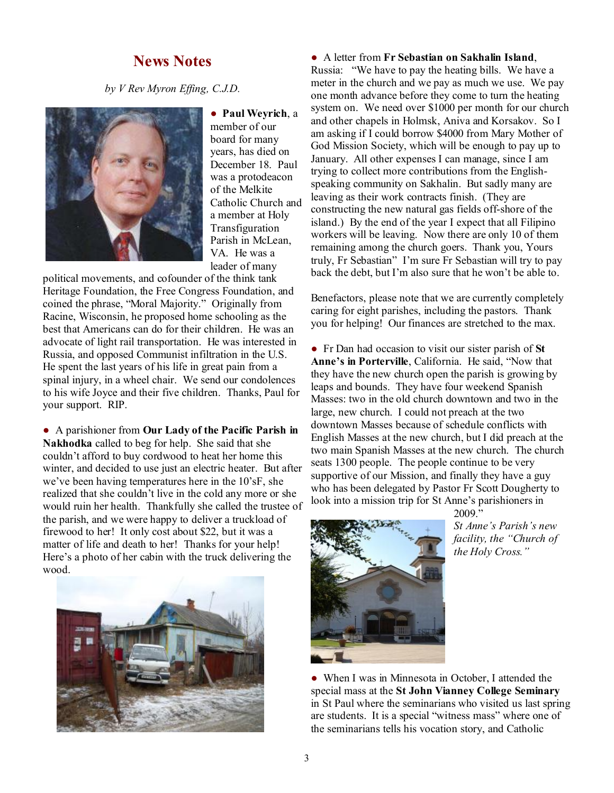# **News Notes**

*by V Rev Myron Effing, C.J.D.*



● **Paul Weyrich**, a member of our board for many years, has died on December 18. Paul was a protodeacon of the Melkite Catholic Church and a member at Holy Transfiguration Parish in McLean, VA. He was a leader of many

political movements, and cofounder of the think tank Heritage Foundation, the Free Congress Foundation, and coined the phrase, "Moral Majority." Originally from Racine, Wisconsin, he proposed home schooling as the best that Americans can do for their children. He was an advocate of light rail transportation. He was interested in Russia, and opposed Communist infiltration in the U.S. He spent the last years of his life in great pain from a spinal injury, in a wheel chair. We send our condolences to his wife Joyce and their five children. Thanks, Paul for your support. RIP.

● A parishioner from **Our Lady of the Pacific Parish in Nakhodka** called to beg for help. She said that she couldn't afford to buy cordwood to heat her home this winter, and decided to use just an electric heater. But after we've been having temperatures here in the 10'sF, she realized that she couldn't live in the cold any more or she would ruin her health. Thankfully she called the trustee of the parish, and we were happy to deliver a truckload of firewood to her! It only cost about \$22, but it was a matter of life and death to her! Thanks for your help! Here's a photo of her cabin with the truck delivering the wood.



#### ● A letter from **Fr Sebastian on Sakhalin Island**,

Russia: "We have to pay the heating bills. We have a meter in the church and we pay as much we use. We pay one month advance before they come to turn the heating system on. We need over \$1000 per month for our church and other chapels in Holmsk, Aniva and Korsakov. So I am asking if I could borrow \$4000 from Mary Mother of God Mission Society, which will be enough to pay up to January. All other expenses I can manage, since I am trying to collect more contributions from the Englishspeaking community on Sakhalin. But sadly many are leaving as their work contracts finish. (They are constructing the new natural gas fields off-shore of the island.) By the end of the year I expect that all Filipino workers will be leaving. Now there are only 10 of them remaining among the church goers. Thank you, Yours truly, Fr Sebastian" I'm sure Fr Sebastian will try to pay back the debt, but I'm also sure that he won't be able to.

Benefactors, please note that we are currently completely caring for eight parishes, including the pastors. Thank you for helping! Our finances are stretched to the max.

● Fr Dan had occasion to visit our sister parish of **St Anne's in Porterville**, California. He said, "Now that they have the new church open the parish is growing by leaps and bounds. They have four weekend Spanish Masses: two in the old church downtown and two in the large, new church. I could not preach at the two downtown Masses because of schedule conflicts with English Masses at the new church, but I did preach at the two main Spanish Masses at the new church. The church seats 1300 people. The people continue to be very supportive of our Mission, and finally they have a guy who has been delegated by Pastor Fr Scott Dougherty to look into a mission trip for St Anne's parishioners in



2009." *St Anne's Parish's new facility, the "Church of the Holy Cross."* 

• When I was in Minnesota in October, I attended the special mass at the **St John Vianney College Seminary** in St Paul where the seminarians who visited us last spring are students. It is a special "witness mass" where one of the seminarians tells his vocation story, and Catholic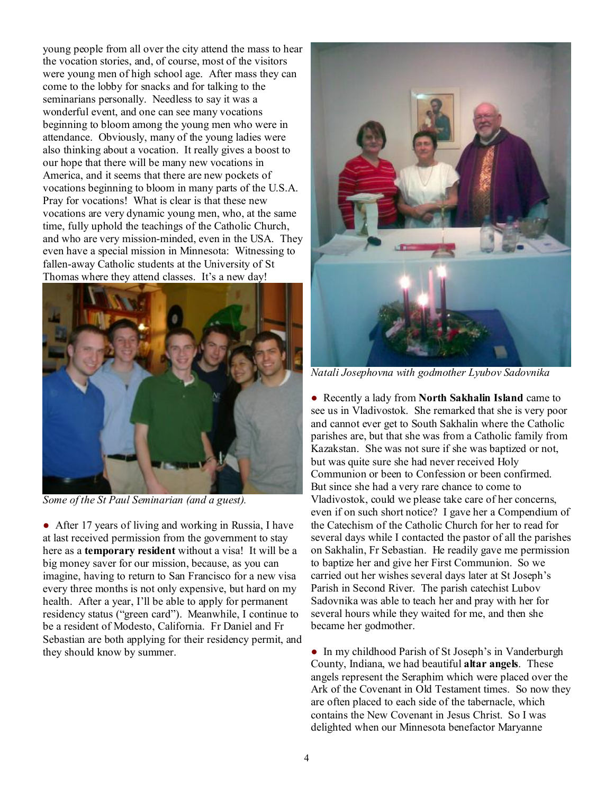young people from all over the city attend the mass to hear the vocation stories, and, of course, most of the visitors were young men of high school age. After mass they can come to the lobby for snacks and for talking to the seminarians personally. Needless to say it was a wonderful event, and one can see many vocations beginning to bloom among the young men who were in attendance. Obviously, many of the young ladies were also thinking about a vocation. It really gives a boost to our hope that there will be many new vocations in America, and it seems that there are new pockets of vocations beginning to bloom in many parts of the U.S.A. Pray for vocations! What is clear is that these new vocations are very dynamic young men, who, at the same time, fully uphold the teachings of the Catholic Church, and who are very mission-minded, even in the USA. They even have a special mission in Minnesota: Witnessing to fallen-away Catholic students at the University of St Thomas where they attend classes. It's a new day!



*Some of the St Paul Seminarian (and a guest).* 

• After 17 years of living and working in Russia, I have at last received permission from the government to stay here as a **temporary resident** without a visa! It will be a big money saver for our mission, because, as you can imagine, having to return to San Francisco for a new visa every three months is not only expensive, but hard on my health. After a year, I'll be able to apply for permanent residency status ("green card"). Meanwhile, I continue to be a resident of Modesto, California. Fr Daniel and Fr Sebastian are both applying for their residency permit, and they should know by summer.



*Natali Josephovna with godmother Lyubov Sadovnika* 

● Recently a lady from **North Sakhalin Island** came to see us in Vladivostok. She remarked that she is very poor and cannot ever get to South Sakhalin where the Catholic parishes are, but that she was from a Catholic family from Kazakstan. She was not sure if she was baptized or not, but was quite sure she had never received Holy Communion or been to Confession or been confirmed. But since she had a very rare chance to come to Vladivostok, could we please take care of her concerns, even if on such short notice? I gave her a Compendium of the Catechism of the Catholic Church for her to read for several days while I contacted the pastor of all the parishes on Sakhalin, Fr Sebastian. He readily gave me permission to baptize her and give her First Communion. So we carried out her wishes several days later at St Joseph's Parish in Second River. The parish catechist Lubov Sadovnika was able to teach her and pray with her for several hours while they waited for me, and then she became her godmother.

● In my childhood Parish of St Joseph's in Vanderburgh County, Indiana, we had beautiful **altar angels**. These angels represent the Seraphim which were placed over the Ark of the Covenant in Old Testament times. So now they are often placed to each side of the tabernacle, which contains the New Covenant in Jesus Christ. So I was delighted when our Minnesota benefactor Maryanne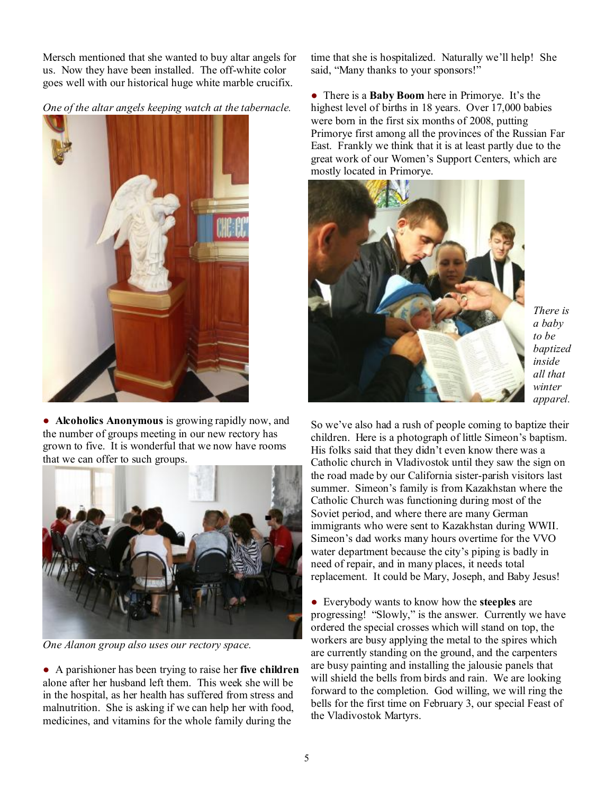Mersch mentioned that she wanted to buy altar angels for us. Now they have been installed. The off-white color goes well with our historical huge white marble crucifix.

*One of the altar angels keeping watch at the tabernacle.* 



● **Alcoholics Anonymous** is growing rapidly now, and the number of groups meeting in our new rectory has grown to five. It is wonderful that we now have rooms that we can offer to such groups.



*One Alanon group also uses our rectory space.* 

● A parishioner has been trying to raise her **five children** alone after her husband left them. This week she will be in the hospital, as her health has suffered from stress and malnutrition. She is asking if we can help her with food, medicines, and vitamins for the whole family during the

time that she is hospitalized. Naturally we'll help! She said, "Many thanks to your sponsors!"

● There is a **Baby Boom** here in Primorye. It's the highest level of births in 18 years. Over 17,000 babies were born in the first six months of 2008, putting Primorye first among all the provinces of the Russian Far East. Frankly we think that it is at least partly due to the great work of our Women's Support Centers, which are mostly located in Primorye.



*There is a baby to be baptized inside all that winter apparel.* 

So we've also had a rush of people coming to baptize their children. Here is a photograph of little Simeon's baptism. His folks said that they didn't even know there was a Catholic church in Vladivostok until they saw the sign on the road made by our California sister-parish visitors last summer. Simeon's family is from Kazakhstan where the Catholic Church was functioning during most of the Soviet period, and where there are many German immigrants who were sent to Kazakhstan during WWII. Simeon's dad works many hours overtime for the VVO water department because the city's piping is badly in need of repair, and in many places, it needs total replacement. It could be Mary, Joseph, and Baby Jesus!

● Everybody wants to know how the **steeples** are progressing! "Slowly," is the answer. Currently we have ordered the special crosses which will stand on top, the workers are busy applying the metal to the spires which are currently standing on the ground, and the carpenters are busy painting and installing the jalousie panels that will shield the bells from birds and rain. We are looking forward to the completion. God willing, we will ring the bells for the first time on February 3, our special Feast of the Vladivostok Martyrs.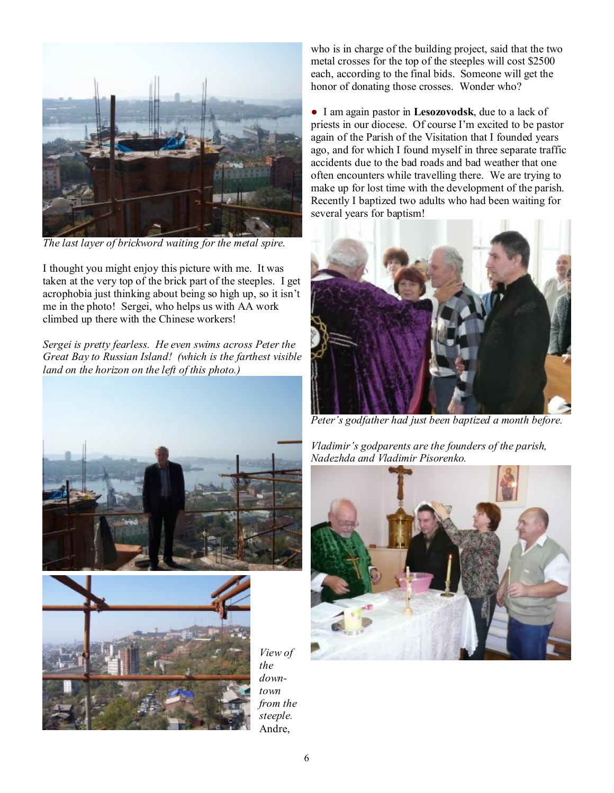

*The last layer of brickword waiting for the metal spire.* 

I thought you might enjoy this picture with me. It was taken at the very top of the brick part of the steeples. I get acrophobia just thinking about being so high up, so it isn't me in the photo! Sergei, who helps us with AA work climbed up there with the Chinese workers!

*Sergei is pretty fearless. He even swims across Peter the Great Bay to Russian Island! (which is the farthest visible land on the horizon on the left of this photo.)* 





*View of the downtown from the steeple.*  Andre,

who is in charge of the building project, said that the two metal crosses for the top of the steeples will cost \$2500 each, according to the final bids. Someone will get the honor of donating those crosses. Wonder who?

● I am again pastor in **Lesozovodsk**, due to a lack of priests in our diocese. Of course I'm excited to be pastor again of the Parish of the Visitation that I founded years ago, and for which I found myself in three separate traffic accidents due to the bad roads and bad weather that one often encounters while travelling there. We are trying to make up for lost time with the development of the parish. Recently I baptized two adults who had been waiting for several years for baptism!



*Peter's godfather had just been baptized a month before.* 

*Vladimir's godparents are the founders of the parish, Nadezhda and Vladimir Pisorenko.* 

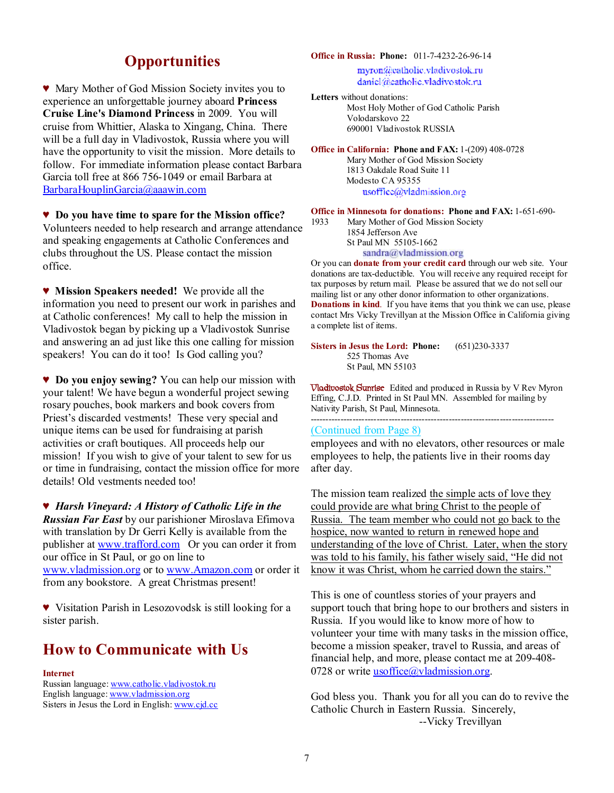# **Opportunities**

♥ Mary Mother of God Mission Society invites you to experience an unforgettable journey aboard **Princess Cruise Line's Diamond Princess** in 2009. You will cruise from Whittier, Alaska to Xingang, China. There will be a full day in Vladivostok, Russia where you will have the opportunity to visit the mission. More details to follow. For immediate information please contact Barbara Garcia toll free at 866 756-1049 or email Barbara at [BarbaraHouplinGarcia@aaawin.com](mailto:BarbaraHouplinGarcia@aaawin.com)

♥ **Do you have time to spare for the Mission office?** Volunteers needed to help research and arrange attendance and speaking engagements at Catholic Conferences and clubs throughout the US. Please contact the mission office.

♥ **Mission Speakers needed!** We provide all the information you need to present our work in parishes and at Catholic conferences! My call to help the mission in Vladivostok began by picking up a Vladivostok Sunrise and answering an ad just like this one calling for mission speakers! You can do it too! Is God calling you?

♥ **Do you enjoy sewing?** You can help our mission with your talent! We have begun a wonderful project sewing rosary pouches, book markers and book covers from Priest's discarded vestments! These very special and unique items can be used for fundraising at parish activities or craft boutiques. All proceeds help our mission! If you wish to give of your talent to sew for us or time in fundraising, contact the mission office for more details! Old vestments needed too!

♥ *Harsh Vineyard: A History of Catholic Life in the Russian Far East* by our parishioner Miroslava Efimova with translation by Dr Gerri Kelly is available from the publisher at [www.trafford.com](http://www.trafford.com) Or you can order it from our office in St Paul, or go on line to [www.vladmission.org](http://www.vladmission.org) or to [www.Amazon.com](http://www.Amazon.com) or order it from any bookstore. A great Christmas present!

♥ Visitation Parish in Lesozovodsk is still looking for a sister parish.

# **How to Communicate with Us**

#### **Internet**

Russian language: [www.catholic.vladivostok.ru](http://www.catholic.vladivostok.ru) English language: [www.vladmission.org](http://www.vladmission.org) Sisters in Jesus the Lord in English: [www.cjd.cc](http://www.cjd.cc)

#### **Office in Russia: Phone:** 011-7-4232-26-96-14

myron@catholic.vladivostok.ru daniel@eatholic.vladivostok.ru

**Letters** without donations: Most Holy Mother of God Catholic Parish Volodarskovo 22 690001 Vladivostok RUSSIA

**Office in California: Phone and FAX:** 1-(209) 408-0728

Mary Mother of God Mission Society 1813 Oakdale Road Suite 11 Modesto CA 95355 usoffice@vladmission.org

**Office in Minnesota for donations: Phone and FAX:** 1-651-690-

1933 Mary Mother of God Mission Society 1854 Jefferson Ave St Paul MN 55105-1662 sandra@vladmission.org

**S SUPPER CONDUGGEST SET CONCOCO SAMPLE SET SAMPLE OF YOU CAN OUT SOUR OUR SET ON THE SUPPER OUR SET OUR SET SUPPER SUPPER SUPPER SUPPER SUPPER SUPPER SUPPER SUPPER SUPPER SUPPER SUPPER SUPPER SUPPER SUPPER SUPPER SUPPER** donations are tax-deductible. You will receive any required receipt for tax purposes by return mail. Please be assured that we do not sell our mailing list or any other donor information to other organizations. **Donations in kind**. If you have items that you think we can use, please contact Mrs Vicky Trevillyan at the Mission Office in California giving a complete list of items.

**Sisters in Jesus the Lord: Phone:** (651)230-3337 525 Thomas Ave St Paul, MN 55103

**Vladivostok Sunrise** Edited and produced in Russia by V Rev Myron Effing, C.J.D. Printed in St Paul MN. Assembled for mailing by Nativity Parish, St Paul, Minnesota. ---------------------------------------------------------------------------------

#### (Continued from Page 8)

employees and with no elevators, other resources or male employees to help, the patients live in their rooms day after day.

The mission team realized the simple acts of love they could provide are what bring Christ to the people of Russia. The team member who could not go back to the hospice, now wanted to return in renewed hope and understanding of the love of Christ. Later, when the story was told to his family, his father wisely said, "He did not know it was Christ, whom he carried down the stairs."

This is one of countless stories of your prayers and support touch that bring hope to our brothers and sisters in Russia. If you would like to know more of how to volunteer your time with many tasks in the mission office, become a mission speaker, travel to Russia, and areas of financial help, and more, please contact me at 209-408- 0728 or write  $\text{usoffice}(\hat{a})$ vladmission.org.

God bless you. Thank you for all you can do to revive the Catholic Church in Eastern Russia. Sincerely, --Vicky Trevillyan